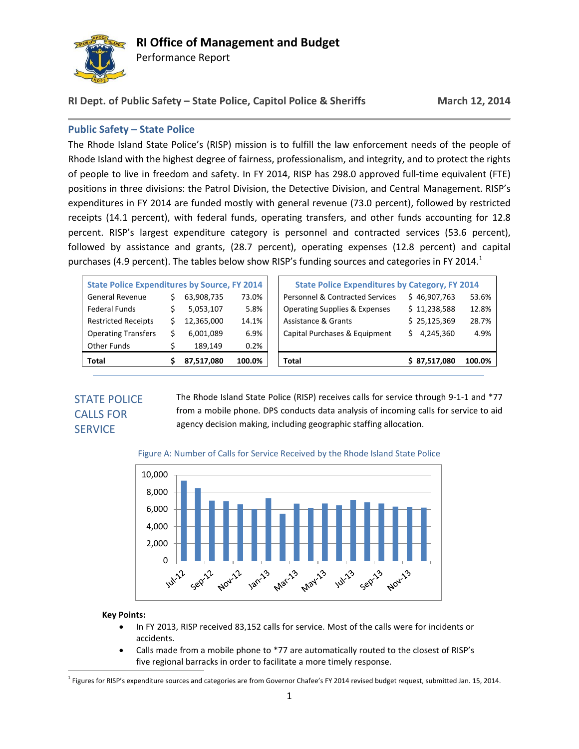

Performance Report

# **RI Dept. of Public Safety – State Police, Capitol Police & Sheriffs March 12, 2014**

# **Public Safety – State Police**

The Rhode Island State Police's (RISP) mission is to fulfill the law enforcement needs of the people of Rhode Island with the highest degree of fairness, professionalism, and integrity, and to protect the rights of people to live in freedom and safety. In FY 2014, RISP has 298.0 approved full-time equivalent (FTE) positions in three divisions: the Patrol Division, the Detective Division, and Central Management. RISP's expenditures in FY 2014 are funded mostly with general revenue (73.0 percent), followed by restricted receipts (14.1 percent), with federal funds, operating transfers, and other funds accounting for 12.8 percent. RISP's largest expenditure category is personnel and contracted services (53.6 percent), followed by assistance and grants, (28.7 percent), operating expenses (12.8 percent) and capital purchases (4.9 percent). The tables below show RISP's funding sources and categories in FY 2014.<sup>1</sup>

| Total                                               |  | 87,517,080 | 100.0% | Total                                                 | \$37,517,080    | 100.0% |
|-----------------------------------------------------|--|------------|--------|-------------------------------------------------------|-----------------|--------|
|                                                     |  |            |        |                                                       |                 |        |
| Other Funds                                         |  | 189.149    | 0.2%   |                                                       |                 |        |
| <b>Operating Transfers</b>                          |  | 6,001,089  | 6.9%   | Capital Purchases & Equipment                         | 4.245.360<br>S. | 4.9%   |
| <b>Restricted Receipts</b>                          |  | 12,365,000 | 14.1%  | Assistance & Grants                                   | \$25,125,369    | 28.7%  |
| Federal Funds                                       |  | 5,053,107  | 5.8%   | <b>Operating Supplies &amp; Expenses</b>              | \$11,238,588    | 12.8%  |
| <b>General Revenue</b>                              |  | 63,908,735 | 73.0%  | <b>Personnel &amp; Contracted Services</b>            | \$46,907,763    | 53.6%  |
| <b>State Police Expenditures by Source, FY 2014</b> |  |            |        | <b>State Police Expenditures by Category, FY 2014</b> |                 |        |
|                                                     |  |            |        |                                                       |                 |        |

# STATE POLICE CALLS FOR **SERVICE**

The Rhode Island State Police (RISP) receives calls for service through 9-1-1 and \*77 from a mobile phone. DPS conducts data analysis of incoming calls for service to aid agency decision making, including geographic staffing allocation.





### **Key Points:**

 $\overline{a}$ 

- In FY 2013, RISP received 83,152 calls for service. Most of the calls were for incidents or accidents.
- Calls made from a mobile phone to \*77 are automatically routed to the closest of RISP's five regional barracks in order to facilitate a more timely response.

1 Figures for RISP's expenditure sources and categories are from Governor Chafee's FY 2014 revised budget request, submitted Jan. 15, 2014.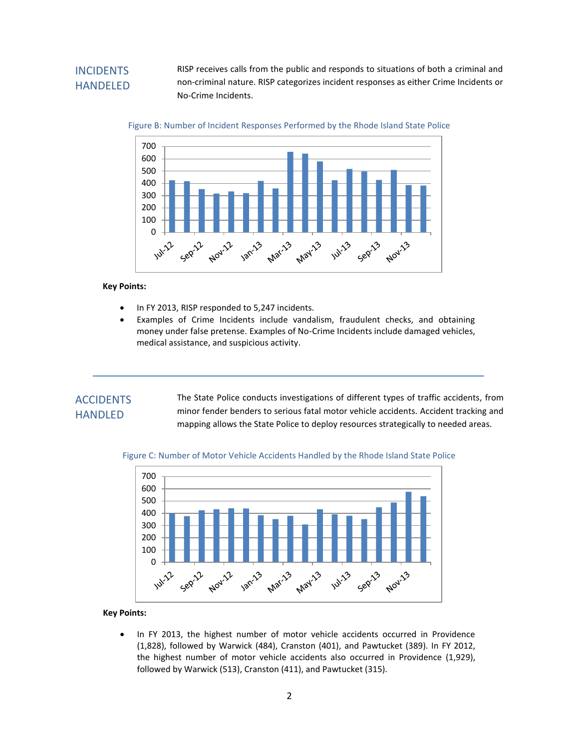# INCIDENTS HANDELED

RISP receives calls from the public and responds to situations of both a criminal and non-criminal nature. RISP categorizes incident responses as either Crime Incidents or No-Crime Incidents.





#### **Key Points:**

- In FY 2013, RISP responded to 5,247 incidents.
- Examples of Crime Incidents include vandalism, fraudulent checks, and obtaining money under false pretense. Examples of No-Crime Incidents include damaged vehicles, medical assistance, and suspicious activity.

# **ACCIDENTS HANDLED**

mapping allows the State Police to deploy resources strategically to needed areas. The State Police conducts investigations of different types of traffic accidents, from minor fender benders to serious fatal motor vehicle accidents. Accident tracking and



### Figure C: Number of Motor Vehicle Accidents Handled by the Rhode Island State Police

### **Key Points:**

• In FY 2013, the highest number of motor vehicle accidents occurred in Providence (1,828), followed by Warwick (484), Cranston (401), and Pawtucket (389). In FY 2012, the highest number of motor vehicle accidents also occurred in Providence (1,929), followed by Warwick (513), Cranston (411), and Pawtucket (315).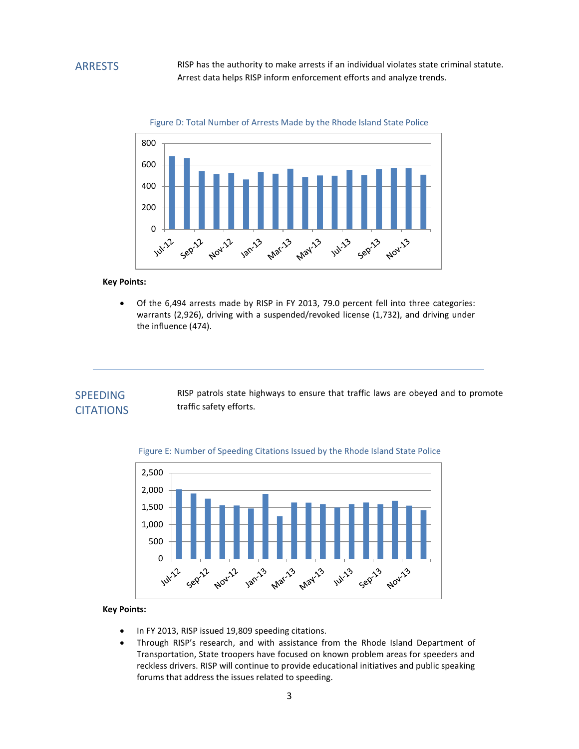RISP has the authority to make arrests if an individual violates state criminal statute. Arrest data helps RISP inform enforcement efforts and analyze trends.





#### **Key Points:**

 Of the 6,494 arrests made by RISP in FY 2013, 79.0 percent fell into three categories: warrants (2,926), driving with a suspended/revoked license (1,732), and driving under the influence (474).

## SPEEDING **CITATIONS**

RISP patrols state highways to ensure that traffic laws are obeyed and to promote traffic safety efforts.



#### Figure E: Number of Speeding Citations Issued by the Rhode Island State Police

### **Key Points:**

- In FY 2013, RISP issued 19,809 speeding citations.
- Through RISP's research, and with assistance from the Rhode Island Department of Transportation, State troopers have focused on known problem areas for speeders and reckless drivers. RISP will continue to provide educational initiatives and public speaking forums that address the issues related to speeding.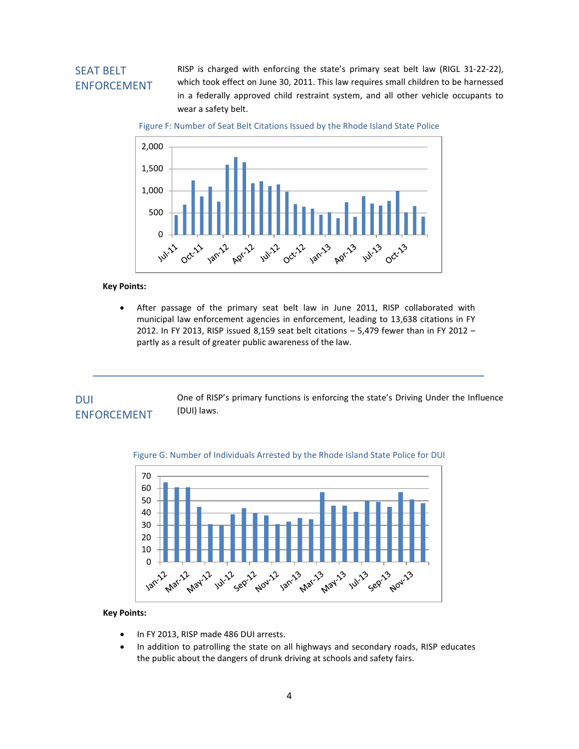# SEAT BELT ENFORCEMENT

RISP is charged with enforcing the state's primary seat belt law (RIGL 31-22-22), which took effect on June 30, 2011. This law requires small children to be harnessed in a federally approved child restraint system, and all other vehicle occupants to wear a safety belt.

Figure F: Number of Seat Belt Citations Issued by the Rhode Island State Police



**Key Points:**

 After passage of the primary seat belt law in June 2011, RISP collaborated with municipal law enforcement agencies in enforcement, leading to 13,638 citations in FY 2012. In FY 2013, RISP issued 8,159 seat belt citations – 5,479 fewer than in FY 2012 – partly as a result of greater public awareness of the law.

#### One of RISP's primary functions is enforcing the state's Driving Under the Influence (DUI) laws. DUI ENFORCEMENT



#### Figure G: Number of Individuals Arrested by the Rhode Island State Police for DUI

#### **Key Points:**

- In FY 2013, RISP made 486 DUI arrests.
- In addition to patrolling the state on all highways and secondary roads, RISP educates the public about the dangers of drunk driving at schools and safety fairs.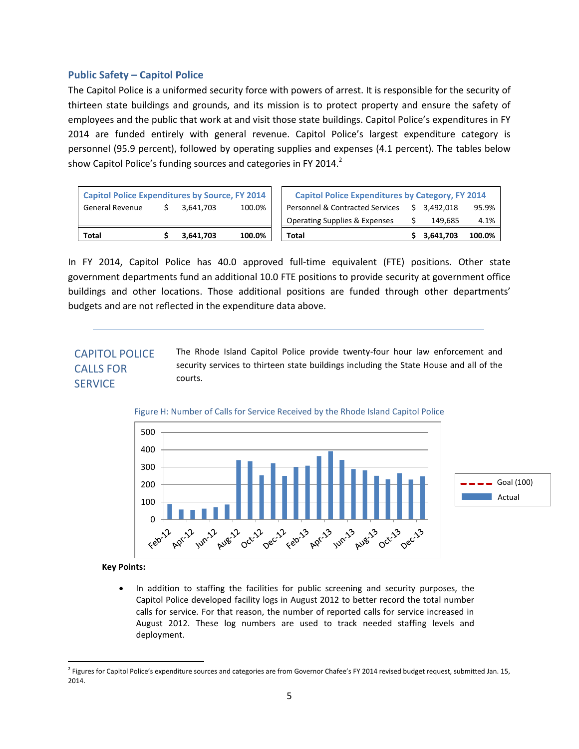### **Public Safety – Capitol Police**

The Capitol Police is a uniformed security force with powers of arrest. It is responsible for the security of thirteen state buildings and grounds, and its mission is to protect property and ensure the safety of employees and the public that work at and visit those state buildings. Capitol Police's expenditures in FY 2014 are funded entirely with general revenue. Capitol Police's largest expenditure category is personnel (95.9 percent), followed by operating supplies and expenses (4.1 percent). The tables below show Capitol Police's funding sources and categories in FY 2014. $<sup>2</sup>$ </sup>

| Total                                                 | 3.641.703 | 100.0% | Total                                                   |  | 3.641.703    | 100.0% |
|-------------------------------------------------------|-----------|--------|---------------------------------------------------------|--|--------------|--------|
|                                                       |           |        | <b>Operating Supplies &amp; Expenses</b>                |  | 149.685      | 4.1%   |
| <b>General Revenue</b>                                | 3.641.703 | 100.0% | Personnel & Contracted Services                         |  | \$ 3.492.018 | 95.9%  |
| <b>Capitol Police Expenditures by Source, FY 2014</b> |           |        | <b>Capitol Police Expenditures by Category, FY 2014</b> |  |              |        |

In FY 2014, Capitol Police has 40.0 approved full-time equivalent (FTE) positions. Other state government departments fund an additional 10.0 FTE positions to provide security at government office buildings and other locations. Those additional positions are funded through other departments' budgets and are not reflected in the expenditure data above.

#### The Rhode Island Capitol Police provide twenty-four hour law enforcement and security services to thirteen state buildings including the State House and all of the courts. CAPITOL POLICE CALLS FOR **SERVICE**





**Key Points:**

 In addition to staffing the facilities for public screening and security purposes, the Capitol Police developed facility logs in August 2012 to better record the total number calls for service. For that reason, the number of reported calls for service increased in August 2012. These log numbers are used to track needed staffing levels and deployment.

 2 Figures for Capitol Police's expenditure sources and categories are from Governor Chafee's FY 2014 revised budget request, submitted Jan. 15, 2014.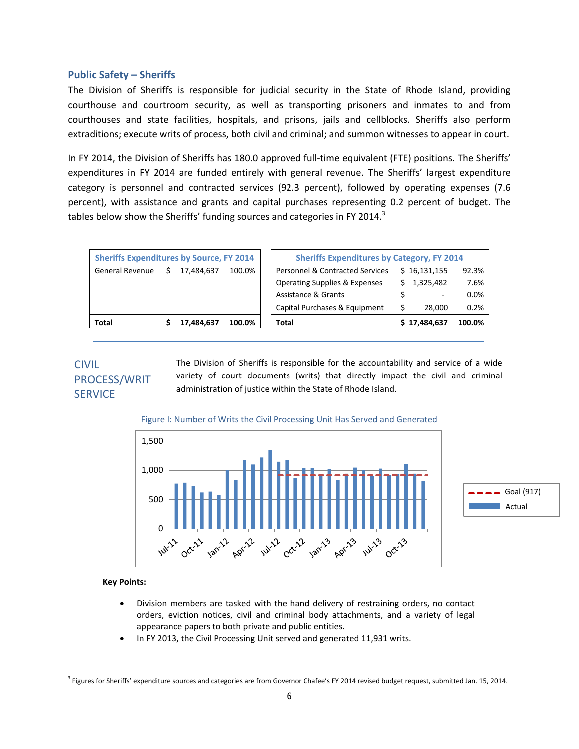### **Public Safety – Sheriffs**

The Division of Sheriffs is responsible for judicial security in the State of Rhode Island, providing courthouse and courtroom security, as well as transporting prisoners and inmates to and from courthouses and state facilities, hospitals, and prisons, jails and cellblocks. Sheriffs also perform extraditions; execute writs of process, both civil and criminal; and summon witnesses to appear in court.

In FY 2014, the Division of Sheriffs has 180.0 approved full-time equivalent (FTE) positions. The Sheriffs' expenditures in FY 2014 are funded entirely with general revenue. The Sheriffs' largest expenditure category is personnel and contracted services (92.3 percent), followed by operating expenses (7.6 percent), with assistance and grants and capital purchases representing 0.2 percent of budget. The tables below show the Sheriffs' funding sources and categories in FY 2014. $3$ 

|                        | <b>Sheriffs Expenditures by Source, FY 2014</b> |            |        |  |                                            | <b>Sheriffs Expenditures by Category, FY 2014</b> |              |        |  |
|------------------------|-------------------------------------------------|------------|--------|--|--------------------------------------------|---------------------------------------------------|--------------|--------|--|
| <b>General Revenue</b> |                                                 | 17.484.637 | 100.0% |  | <b>Personnel &amp; Contracted Services</b> |                                                   | \$16,131,155 | 92.3%  |  |
|                        |                                                 |            |        |  | <b>Operating Supplies &amp; Expenses</b>   |                                                   | \$1,325,482  | 7.6%   |  |
|                        |                                                 |            |        |  | <b>Assistance &amp; Grants</b>             |                                                   | ۰.           | 0.0%   |  |
|                        |                                                 |            |        |  | Capital Purchases & Equipment              |                                                   | 28,000       | 0.2%   |  |
| Total                  |                                                 | 17,484,637 | 100.0% |  | <b>Total</b>                               |                                                   | \$17,484,637 | 100.0% |  |

# CIVIL PROCESS/WRIT **SERVICE**

The Division of Sheriffs is responsible for the accountability and service of a wide variety of court documents (writs) that directly impact the civil and criminal administration of justice within the State of Rhode Island.

### Figure I: Number of Writs the Civil Processing Unit Has Served and Generated



### **Key Points:**

 $\overline{a}$ 

- Division members are tasked with the hand delivery of restraining orders, no contact orders, eviction notices, civil and criminal body attachments, and a variety of legal appearance papers to both private and public entities.
- In FY 2013, the Civil Processing Unit served and generated 11,931 writs.

<sup>3</sup> Figures for Sheriffs' expenditure sources and categories are from Governor Chafee's FY 2014 revised budget request, submitted Jan. 15, 2014.